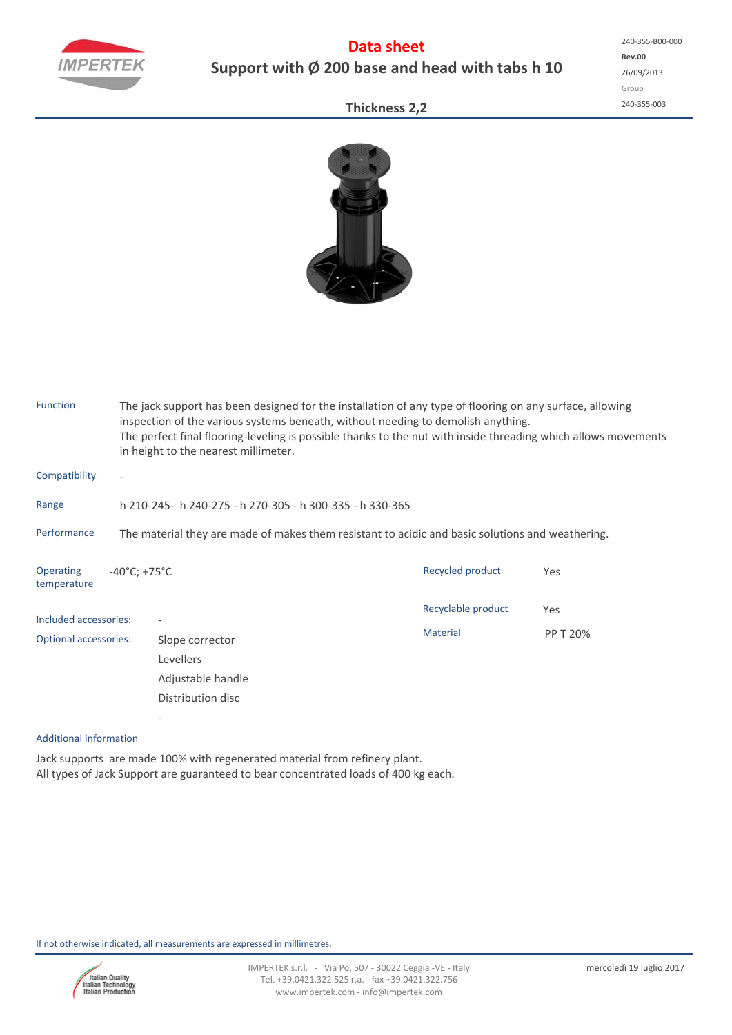

## **Data sheet Support with Ø 200 base and head with tabs h 10**

**Rev.00** 26/09/2013 Group 240‐355‐003 240‐355‐B00‐000

## **Thickness 2,2**



| <b>Function</b>                                                      | The jack support has been designed for the installation of any type of flooring on any surface, allowing<br>inspection of the various systems beneath, without needing to demolish anything.<br>The perfect final flooring-leveling is possible thanks to the nut with inside threading which allows movements<br>in height to the nearest millimeter. |                   |                    |                 |  |  |  |  |  |  |
|----------------------------------------------------------------------|--------------------------------------------------------------------------------------------------------------------------------------------------------------------------------------------------------------------------------------------------------------------------------------------------------------------------------------------------------|-------------------|--------------------|-----------------|--|--|--|--|--|--|
| Compatibility                                                        | $\qquad \qquad -$                                                                                                                                                                                                                                                                                                                                      |                   |                    |                 |  |  |  |  |  |  |
| Range                                                                | h 210-245- h 240-275 - h 270-305 - h 300-335 - h 330-365                                                                                                                                                                                                                                                                                               |                   |                    |                 |  |  |  |  |  |  |
| Performance                                                          | The material they are made of makes them resistant to acidic and basic solutions and weathering.                                                                                                                                                                                                                                                       |                   |                    |                 |  |  |  |  |  |  |
| <b>Operating</b><br>$-40^{\circ}$ C: +75 $^{\circ}$ C<br>temperature |                                                                                                                                                                                                                                                                                                                                                        |                   | Recycled product   | Yes             |  |  |  |  |  |  |
| Included accessories:                                                |                                                                                                                                                                                                                                                                                                                                                        |                   | Recyclable product | Yes             |  |  |  |  |  |  |
| <b>Optional accessories:</b>                                         |                                                                                                                                                                                                                                                                                                                                                        | Slope corrector   | Material           | <b>PP T 20%</b> |  |  |  |  |  |  |
|                                                                      |                                                                                                                                                                                                                                                                                                                                                        | <b>Levellers</b>  |                    |                 |  |  |  |  |  |  |
|                                                                      |                                                                                                                                                                                                                                                                                                                                                        | Adjustable handle |                    |                 |  |  |  |  |  |  |
|                                                                      |                                                                                                                                                                                                                                                                                                                                                        | Distribution disc |                    |                 |  |  |  |  |  |  |

## Additional information

Jack supports are made 100% with regenerated material from refinery plant. All types of Jack Support are guaranteed to bear concentrated loads of 400 kg each.

If not otherwise indicated, all measurements are expressed in millimetres.

‐